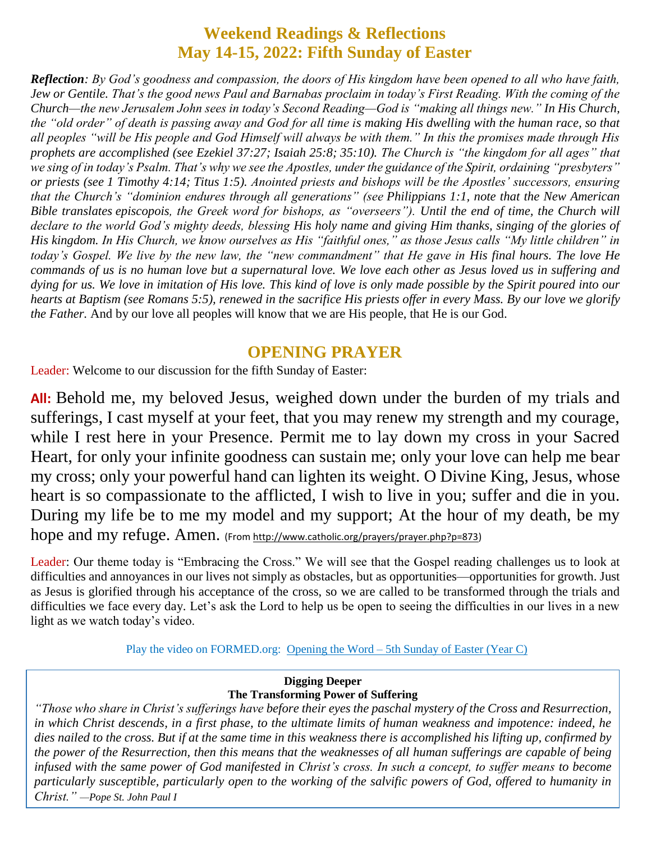### **Weekend Readings & Reflections May 14-15, 2022: Fifth Sunday of Easter**

*Reflection: By God's goodness and compassion, the doors of His kingdom have been opened to all who have faith, Jew or Gentile. That's the good news Paul and Barnabas proclaim in today's First Reading. With the coming of the Church—the new Jerusalem John sees in today's Second Reading—God is "making all things new." In His Church,*  the "old order" of death is passing away and God for all time is making His dwelling with the human race, so that *all peoples "will be His people and God Himself will always be with them." In this the promises made through His prophets are accomplished (see [Ezekiel 37:27;](https://biblia.com/bible/rsvce/Ezek%2037.27) [Isaiah 25:8;](https://biblia.com/bible/rsvce/Isa%2025.8) [35:10\)](https://biblia.com/bible/rsvce/Isaiah%2035.10). The Church is "the kingdom for all ages" that we sing of in today's Psalm. That's why we see the Apostles, under the guidance of the Spirit, ordaining "presbyters" or priests (see [1 Timothy 4:14;](https://biblia.com/bible/rsvce/1%20Tim%204.14) [Titus 1:5\)](https://biblia.com/bible/rsvce/Titus%201.5). Anointed priests and bishops will be the Apostles' successors, ensuring that the Church's "dominion endures through all generations" (see [Philippians 1:1,](https://biblia.com/bible/rsvce/Phil%201.1) note that the New American Bible translates episcopois, the Greek word for bishops, as "overseers"). Until the end of time, the Church will*  declare to the world God's mighty deeds, blessing His holy name and giving Him thanks, singing of the glories of *His kingdom. In His Church, we know ourselves as His "faithful ones," as those Jesus calls "My little children" in today's Gospel. We live by the new law, the "new commandment" that He gave in His final hours. The love He commands of us is no human love but a supernatural love. We love each other as Jesus loved us in suffering and dying for us. We love in imitation of His love. This kind of love is only made possible by the Spirit poured into our hearts at Baptism (see [Romans 5:5\)](https://biblia.com/bible/rsvce/Rom%205.5), renewed in the sacrifice His priests offer in every Mass. By our love we glorify the Father.* And by our love all peoples will know that we are His people, that He is our God.

#### **OPENING PRAYER**

Leader: Welcome to our discussion for the fifth Sunday of Easter:

**All:** Behold me, my beloved Jesus, weighed down under the burden of my trials and sufferings, I cast myself at your feet, that you may renew my strength and my courage, while I rest here in your Presence. Permit me to lay down my cross in your Sacred Heart, for only your infinite goodness can sustain me; only your love can help me bear my cross; only your powerful hand can lighten its weight. O Divine King, Jesus, whose heart is so compassionate to the afflicted, I wish to live in you; suffer and die in you. During my life be to me my model and my support; At the hour of my death, be my hope and my refuge. Amen. (From [http://www.catholic.org/prayers/prayer.php?p=873\)](http://www.catholic.org/prayers/prayer.php?p=873)

Leader: Our theme today is "Embracing the Cross." We will see that the Gospel reading challenges us to look at difficulties and annoyances in our lives not simply as obstacles, but as opportunities—opportunities for growth. Just as Jesus is glorified through his acceptance of the cross, so we are called to be transformed through the trials and difficulties we face every day. Let's ask the Lord to help us be open to seeing the difficulties in our lives in a new light as we watch today's video.

Play the video on FORMED.org: Opening the Word – 5th [Sunday of Easter \(Year C\)](https://watch.formed.org/opening-the-word-1/season:3/videos/5th-sunday-of-easter-may-19-2019)

#### **Digging Deeper The Transforming Power of Suffering**

*"Those who share in Christ's sufferings have before their eyes the paschal mystery of the Cross and Resurrection, in which Christ descends, in a first phase, to the ultimate limits of human weakness and impotence: indeed, he dies nailed to the cross. But if at the same time in this weakness there is accomplished his lifting up, confirmed by the power of the Resurrection, then this means that the weaknesses of all human sufferings are capable of being infused with the same power of God manifested in Christ's cross. In such a concept, to suffer means to become particularly susceptible, particularly open to the working of the salvific powers of God, offered to humanity in Christ." —Pope St. John Paul I*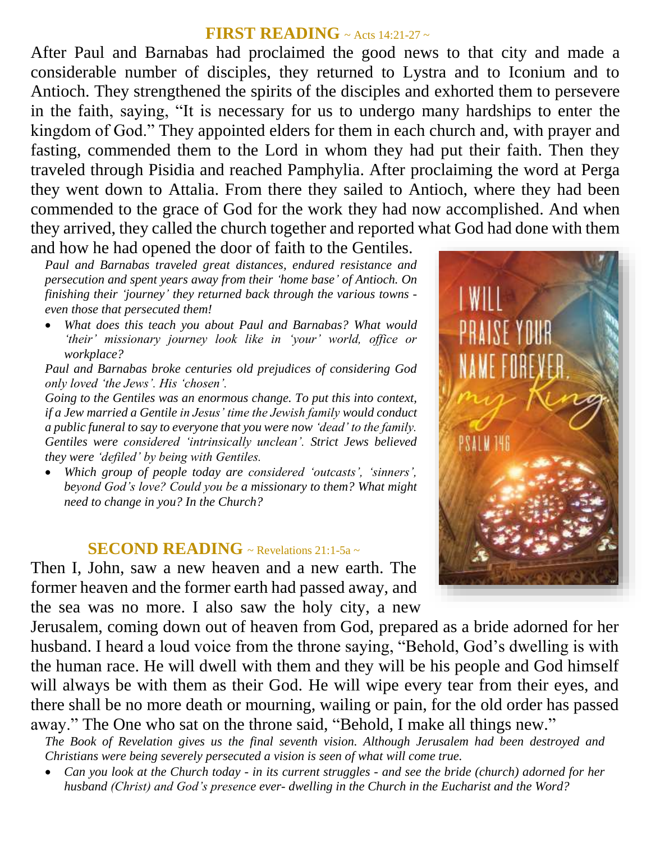## **FIRST READING** ~ Acts 14:21-27 <sup>~</sup>

After Paul and Barnabas had proclaimed the good news to that city and made a considerable number of disciples, they returned to Lystra and to Iconium and to Antioch. They strengthened the spirits of the disciples and exhorted them to persevere in the faith, saying, "It is necessary for us to undergo many hardships to enter the kingdom of God." They appointed elders for them in each church and, with prayer and fasting, commended them to the Lord in whom they had put their faith. Then they traveled through Pisidia and reached Pamphylia. After proclaiming the word at Perga they went down to Attalia. From there they sailed to Antioch, where they had been commended to the grace of God for the work they had now accomplished. And when they arrived, they called the church together and reported what God had done with them and how he had opened the door of faith to the Gentiles.

*Paul and Barnabas traveled great distances, endured resistance and persecution and spent years away from their 'home base' of Antioch. On finishing their 'journey' they returned back through the various towns even those that persecuted them!* 

 *What does this teach you about Paul and Barnabas? What would ʻtheir' missionary journey look like in ʻyour' world, office or workplace?*

*Paul and Barnabas broke centuries old prejudices of considering God only loved ʻthe Jews'. His ʻchosen'.*

*Going to the Gentiles was an enormous change. To put this into context, if a Jew married a Gentile in Jesus' time the Jewish family would conduct a public funeral to say to everyone that you were now ʻdead' to the family. Gentiles were considered ʻintrinsically unclean'. Strict Jews believed they were ʻdefiled' by being with Gentiles.*

 *Which group of people today are considered ʻoutcasts', ʻsinners', beyond God's love? Could you be a missionary to them? What might need to change in you? In the Church?*

#### **SECOND READING** ~ Revelations 21:1-5a ~

Then I, John, saw a new heaven and a new earth. The former heaven and the former earth had passed away, and the sea was no more. I also saw the holy city, a new

Jerusalem, coming down out of heaven from God, prepared as a bride adorned for her husband. I heard a loud voice from the throne saying, "Behold, God's dwelling is with the human race. He will dwell with them and they will be his people and God himself will always be with them as their God. He will wipe every tear from their eyes, and there shall be no more death or mourning, wailing or pain, for the old order has passed away." The One who sat on the throne said, "Behold, I make all things new."

*The Book of Revelation gives us the final seventh vision. Although Jerusalem had been destroyed and Christians were being severely persecuted a vision is seen of what will come true.* 

 *Can you look at the Church today - in its current struggles - and see the bride (church) adorned for her husband (Christ) and God's presence ever- dwelling in the Church in the Eucharist and the Word?*

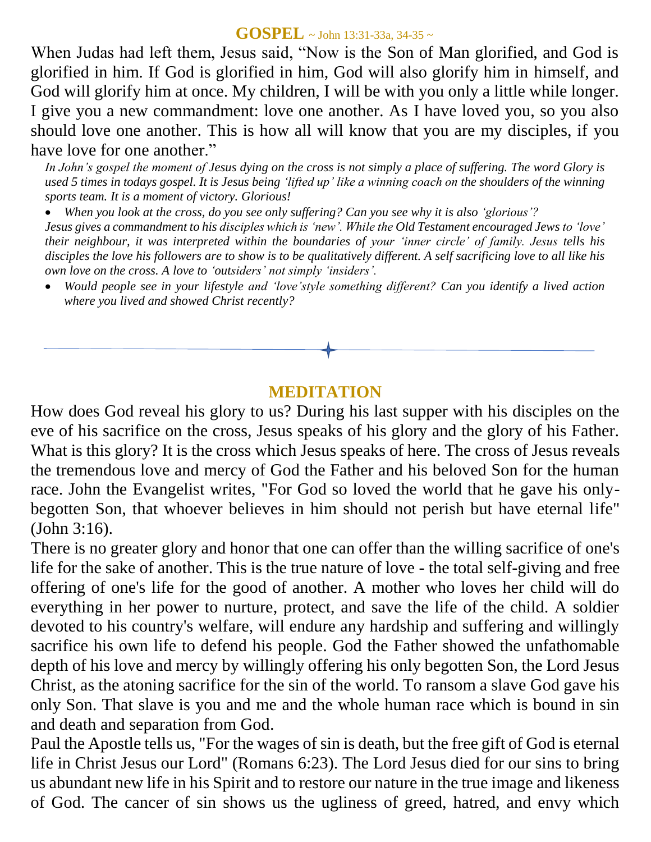#### **GOSPEL** ~ John 13:31-33a, 34-35 <sup>~</sup>

When Judas had left them, Jesus said, "Now is the Son of Man glorified, and God is glorified in him. If God is glorified in him, God will also glorify him in himself, and God will glorify him at once. My children, I will be with you only a little while longer. I give you a new commandment: love one another. As I have loved you, so you also should love one another. This is how all will know that you are my disciples, if you have love for one another."

*In John's gospel the moment of Jesus dying on the cross is not simply a place of suffering. The word Glory is used 5 times in todays gospel. It is Jesus being ʻlifted up' like a winning coach on the shoulders of the winning sports team. It is a moment of victory. Glorious!* 

 *When you look at the cross, do you see only suffering? Can you see why it is also ʻglorious'? Jesus gives a commandment to his disciples which is ʻnew'. While the Old Testament encouraged Jews to ʻlove' their neighbour, it was interpreted within the boundaries of your ʻinner circle' of family. Jesus tells his disciples the love his followers are to show is to be qualitatively different. A self sacrificing love to all like his own love on the cross. A love to ʻoutsiders' not simply ʻinsiders'.*

 *Would people see in your lifestyle and ʻlove'style something different? Can you identify a lived action where you lived and showed Christ recently?*

# **MEDITATION**

How does God reveal his glory to us? During his last supper with his disciples on the eve of his sacrifice on the cross, Jesus speaks of his glory and the glory of his Father. What is this glory? It is the cross which Jesus speaks of here. The cross of Jesus reveals the tremendous love and mercy of God the Father and his beloved Son for the human race. John the Evangelist writes, "For God so loved the world that he gave his onlybegotten Son, that whoever believes in him should not perish but have eternal life" (John 3:16).

There is no greater glory and honor that one can offer than the willing sacrifice of one's life for the sake of another. This is the true nature of love - the total self-giving and free offering of one's life for the good of another. A mother who loves her child will do everything in her power to nurture, protect, and save the life of the child. A soldier devoted to his country's welfare, will endure any hardship and suffering and willingly sacrifice his own life to defend his people. God the Father showed the unfathomable depth of his love and mercy by willingly offering his only begotten Son, the Lord Jesus Christ, as the atoning sacrifice for the sin of the world. To ransom a slave God gave his only Son. That slave is you and me and the whole human race which is bound in sin and death and separation from God.

Paul the Apostle tells us, "For the wages of sin is death, but the free gift of God is eternal life in Christ Jesus our Lord" (Romans 6:23). The Lord Jesus died for our sins to bring us abundant new life in his Spirit and to restore our nature in the true image and likeness of God. The cancer of sin shows us the ugliness of greed, hatred, and envy which